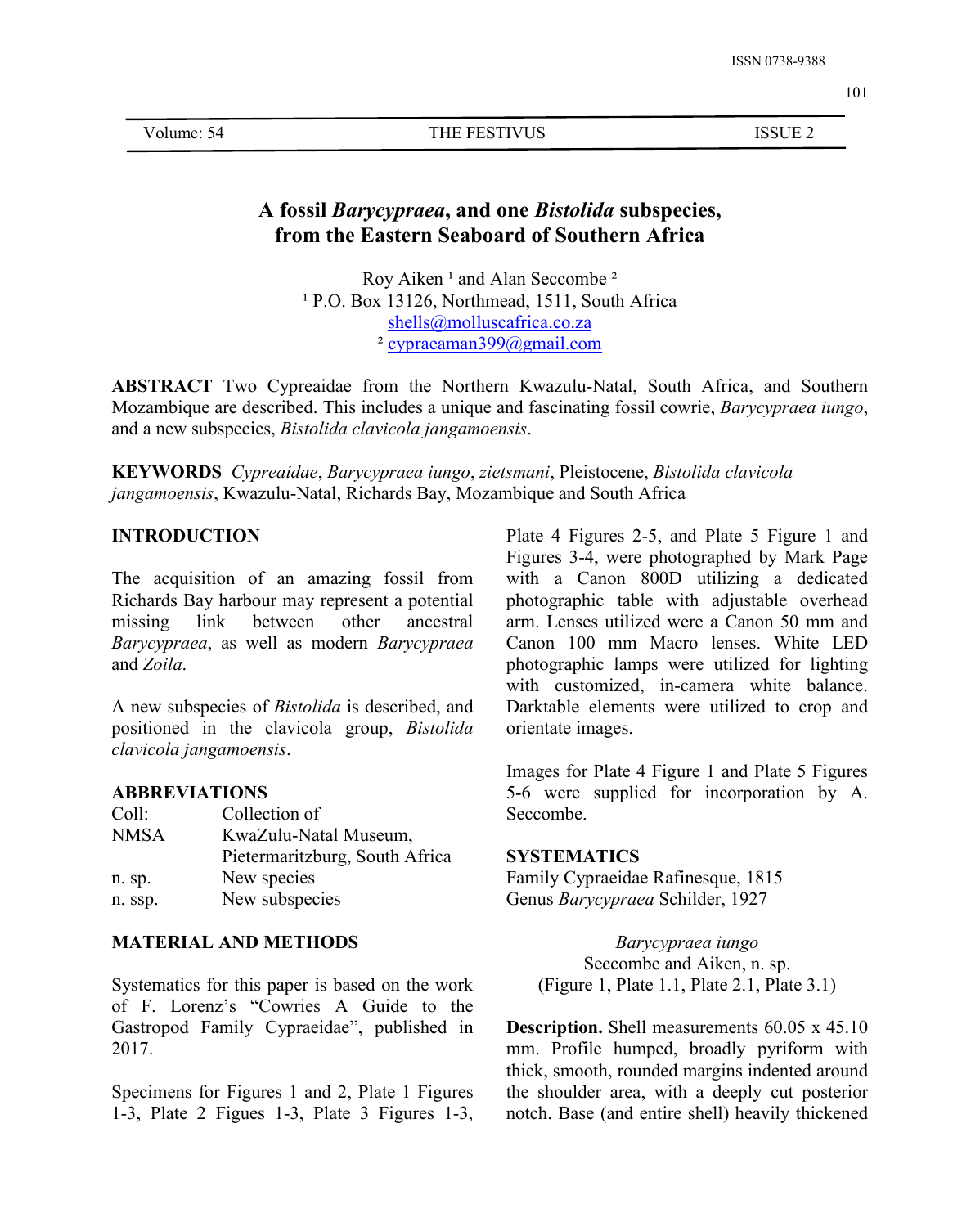Volume: 54 THE FESTIVUS ISSUE 2

# **A fossil** *Barycypraea***, and one** *Bistolida* **subspecies, from the Eastern Seaboard of Southern Africa**

Roy Aiken<sup>1</sup> and Alan Seccombe<sup>2</sup> <sup>1</sup> P.O. Box 13126, Northmead, 1511, South Africa [shells@molluscafrica.co.za](mailto:shells@molluscafrica.co.za) ² cypraeaman399@gmail.com

**ABSTRACT** Two Cypreaidae from the Northern Kwazulu-Natal, South Africa, and Southern Mozambique are described. This includes a unique and fascinating fossil cowrie, *Barycypraea iungo*, and a new subspecies, *Bistolida clavicola jangamoensis*.

**KEYWORDS** *Cypreaidae*, *Barycypraea iungo*, *zietsmani*, Pleistocene, *Bistolida clavicola jangamoensis*, Kwazulu-Natal, Richards Bay, Mozambique and South Africa

## **INTRODUCTION**

The acquisition of an amazing fossil from Richards Bay harbour may represent a potential missing link between other ancestral *Barycypraea*, as well as modern *Barycypraea* and *Zoila*.

A new subspecies of *Bistolida* is described, and positioned in the clavicola group, *Bistolida clavicola jangamoensis*.

## **ABBREVIATIONS**

| Coll:       | Collection of                  | Seccombe.                          |
|-------------|--------------------------------|------------------------------------|
| <b>NMSA</b> | KwaZulu-Natal Museum,          |                                    |
|             | Pietermaritzburg, South Africa | <b>SYSTEMATICS</b>                 |
| n. sp.      | New species                    | Family Cypraeidae Rafinesque, 1815 |
| n. ssp.     | New subspecies                 | Genus Barycypraea Schilder, 1927   |

## **MATERIAL AND METHODS**

Systematics for this paper is based on the work of F.Lorenz's "Cowries A Guide to the Gastropod Family Cypraeidae", published in 2017.

Specimens for Figures 1 and 2, Plate 1 Figures 1-3, Plate 2 Figues 1-3, Plate 3 Figures 1-3, Plate 4 Figures 2-5, and Plate 5 Figure 1 and Figures 3-4, were photographed by Mark Page with a Canon 800D utilizing a dedicated photographic table with adjustable overhead arm. Lenses utilized were a Canon 50 mm and Canon 100 mm Macro lenses. White LED photographic lamps were utilized for lighting with customized, in-camera white balance. Darktable elements were utilized to crop and orientate images.

Images for Plate 4 Figure 1 and Plate 5 Figures 5-6 were supplied for incorporation by A. Seccombe.

> *Barycypraea iungo* Seccombe and Aiken, n. sp. (Figure 1, Plate 1.1, Plate 2.1, Plate 3.1)

**Description.** Shell measurements 60.05 x 45.10 mm. Profile humped, broadly pyriform with thick, smooth, rounded margins indented around the shoulder area, with a deeply cut posterior notch. Base (and entire shell) heavily thickened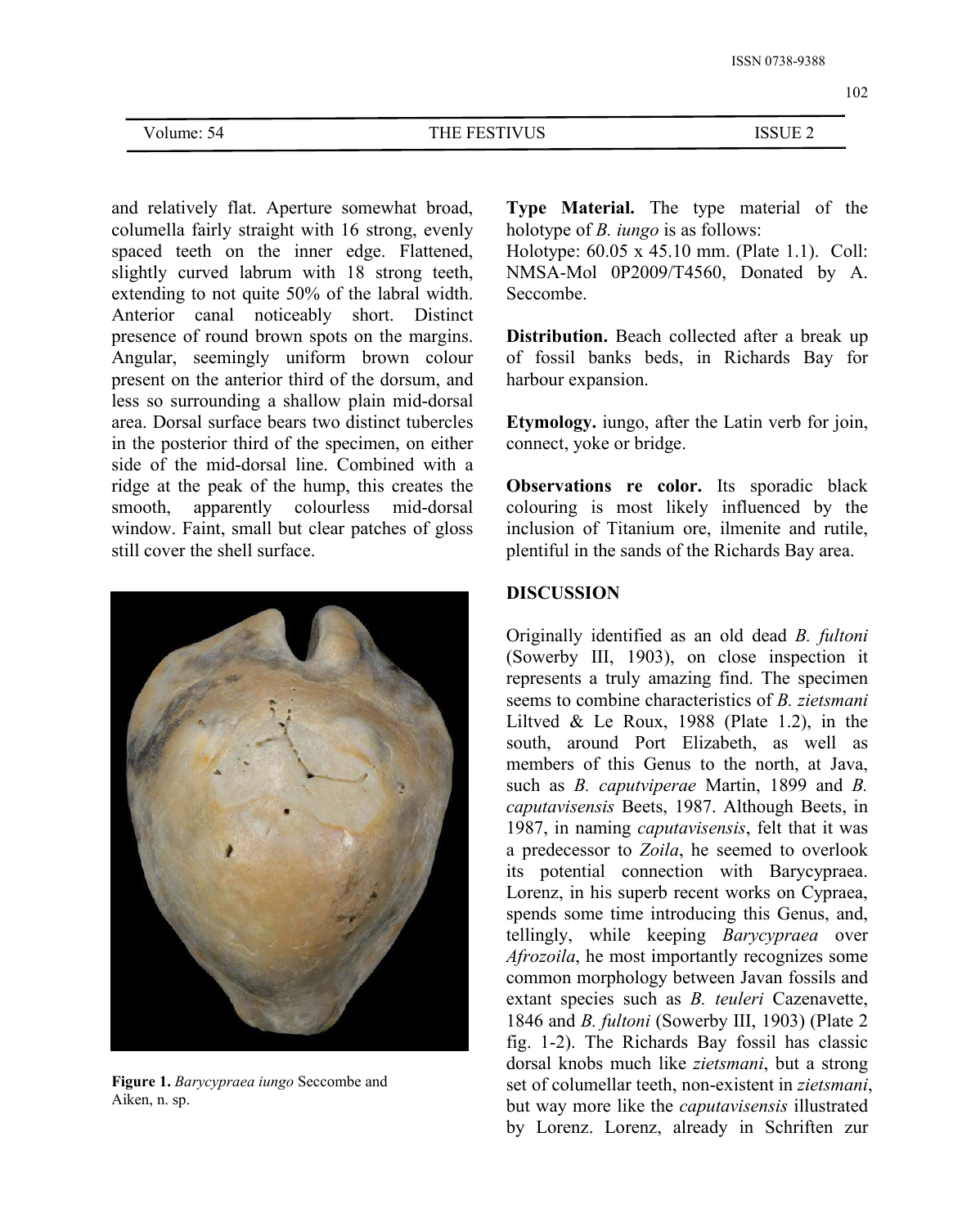| Volume: 54 |  |
|------------|--|
|------------|--|

THE FESTIVUS ISSUE 2

and relatively flat. Aperture somewhat broad, columella fairly straight with 16 strong, evenly spaced teeth on the inner edge. Flattened, slightly curved labrum with 18 strong teeth, extending to not quite 50% of the labral width. Anterior canal noticeably short. Distinct presence of round brown spots on the margins. Angular, seemingly uniform brown colour present on the anterior third of the dorsum, and less so surrounding a shallow plain mid-dorsal area. Dorsal surface bears two distinct tubercles in the posterior third of the specimen, on either side of the mid-dorsal line. Combined with a ridge at the peak of the hump, this creates the smooth, apparently colourless mid-dorsal window. Faint, small but clear patches of gloss still cover the shell surface.



**Figure 1.** *Barycypraea iungo* Seccombe and Aiken, n. sp.

**Type Material.** The type material of the holotype of *B. iungo* is as follows:

Holotype: 60.05 x 45.10 mm. (Plate 1.1). Coll: NMSA-Mol 0P2009/T4560, Donated by A. Seccombe.

**Distribution.** Beach collected after a break up of fossil banks beds, in Richards Bay for harbour expansion.

**Etymology.** iungo, after the Latin verb for join, connect, yoke or bridge.

**Observations re color.** Its sporadic black colouring is most likely influenced by the inclusion of Titanium ore, ilmenite and rutile, plentiful in the sands of the Richards Bay area.

## **DISCUSSION**

Originally identified as an old dead *B. fultoni* (Sowerby III, 1903), on close inspection it represents a truly amazing find. The specimen seems to combine characteristics of*B. zietsmani* Liltved & Le Roux,  $1988$  (Plate 1.2), in the south, around Port Elizabeth, as well as members of this Genus to the north, at Java, such as *B. caputviperae* Martin, 1899 and *B. caputavisensis* Beets, 1987. Although Beets, in 1987, in naming *caputavisensis*, felt that it was a predecessor to *Zoila*, he seemed to overlook its potential connection with Barycypraea. Lorenz, in his superb recent works on Cypraea, spends some time introducing this Genus, and, tellingly, while keeping *Barycypraea* over *Afrozoila*, he most importantly recognizes some common morphology between Javan fossils and extant species such as *B. teuleri* Cazenavette, 1846 and *B. fultoni* (Sowerby III, 1903) (Plate 2 fig. 1-2). The Richards Bay fossil has classic dorsal knobs much like *zietsmani*, but a strong set of columellar teeth, non-existent in *zietsmani*, but way more like the *caputavisensis* illustrated by Lorenz. Lorenz, already in Schriften zur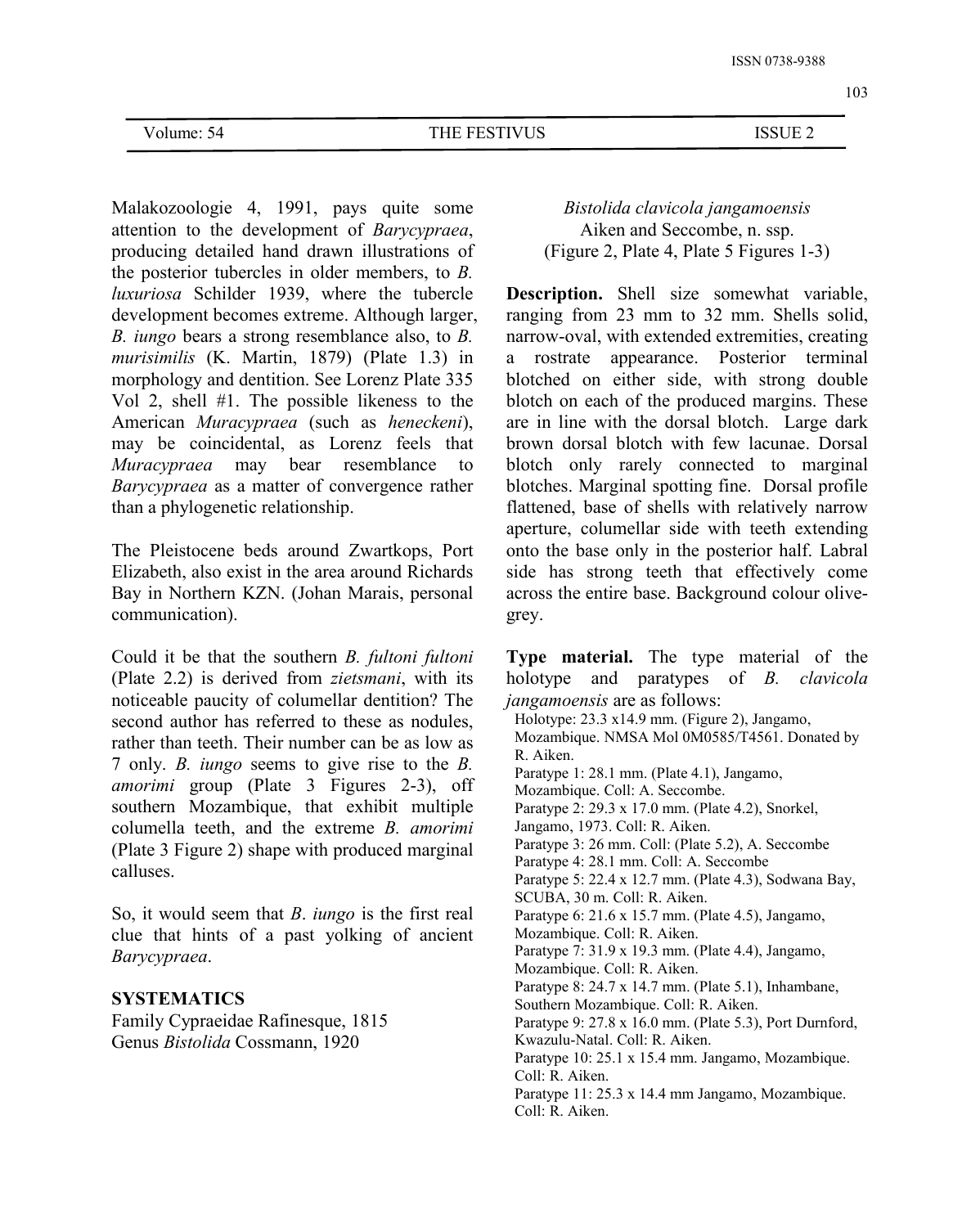Volume: 54 THE FESTIVUS ISSUE 2

Malakozoologie 4, 1991, pays quite some attention to the development of *Barycypraea*, producing detailed hand drawn illustrations of the posterior tubercles in older members, to *B. luxuriosa* Schilder 1939, where the tubercle development becomes extreme. Although larger, ranging from 23 mm to 32 mm. Shells solid, *B. iungo* bears a strong resemblance also, to *B. murisimilis* (K. Martin, 1879) (Plate 1.3) in morphology and dentition. See Lorenz Plate 335 Vol 2, shell #1. The possible likeness to the American *Muracypraea* (such as *heneckeni*), may be coincidental, as Lorenz feels that *Muracypraea* may bear resemblance to *Barycypraea* as a matter of convergence rather than a phylogenetic relationship.

The Pleistocene beds around Zwartkops, Port Elizabeth, also exist in the area around Richards Bay in Northern KZN. (Johan Marais, personal communication).

Could it be that the southern *B. fultoni fultoni* (Plate 2.2) is derived from *zietsmani*, with its noticeable paucity of columellar dentition? The second author has referred to these as nodules, rather than teeth. Their number can be as low as 7 only. *B. iungo* seems to give rise to the *B. amorimi* group (Plate 3 Figures 2-3), off southern Mozambique, that exhibit multiple columella teeth, and the extreme *B. amorimi* (Plate 3 Figure 2) shape with produced marginal calluses.

So, it would seem that*B*. *iungo* is the first real clue that hints of a past yolking of ancient *Barycypraea*.

## **SYSTEMATICS**

Family Cypraeidae Rafinesque, 1815 Genus *Bistolida* Cossmann, 1920

*Bistolida clavicola jangamoensis* Aiken and Seccombe, n. ssp. (Figure 2, Plate 4, Plate 5 Figures 1-3)

**Description.** Shell size somewhat variable, narrow-oval, with extended extremities, creating a rostrate appearance. Posterior terminal blotched on either side, with strong double blotch on each of the produced margins. These are in line with the dorsal blotch. Large dark brown dorsal blotch with few lacunae. Dorsal blotch only rarely connected to marginal blotches. Marginal spotting fine. Dorsal profile flattened, base of shells with relatively narrow aperture, columellar side with teeth extending onto the base only in the posterior half. Labral side has strong teeth that effectively come across the entire base. Background colour olive grey.

**Type material.** The type material of the holotype and paratypes of *B. clavicola jangamoensis* are as follows: Holotype: 23.3 x14.9 mm. (Figure 2), Jangamo, Mozambique. NMSA Mol 0M0585/T4561. Donated by R. Aiken. Paratype 1: 28.1 mm. (Plate 4.1), Jangamo, Mozambique. Coll: A. Seccombe. Paratype 2: 29.3 x 17.0 mm. (Plate 4.2), Snorkel, Jangamo, 1973. Coll: R. Aiken. Paratype 3: 26 mm. Coll: (Plate 5.2), A. Seccombe Paratype 4: 28.1 mm. Coll: A. Seccombe Paratype 5: 22.4 x 12.7 mm. (Plate 4.3), Sodwana Bay, SCUBA, 30 m. Coll: R.Aiken. Paratype 6: 21.6 x 15.7 mm. (Plate 4.5), Jangamo, Mozambique. Coll: R. Aiken. Paratype 7: 31.9 x 19.3 mm. (Plate 4.4), Jangamo, Mozambique. Coll: R. Aiken. Paratype 8: 24.7 x 14.7 mm. (Plate 5.1), Inhambane, Southern Mozambique. Coll: R. Aiken. Paratype 9: 27.8 x 16.0 mm. (Plate 5.3), Port Durnford, Kwazulu-Natal. Coll: R. Aiken. Paratype 10: 25.1 x 15.4 mm. Jangamo, Mozambique. Coll: R. Aiken. Paratype 11: 25.3 x 14.4 mm Jangamo, Mozambique. Coll: R. Aiken.

### 103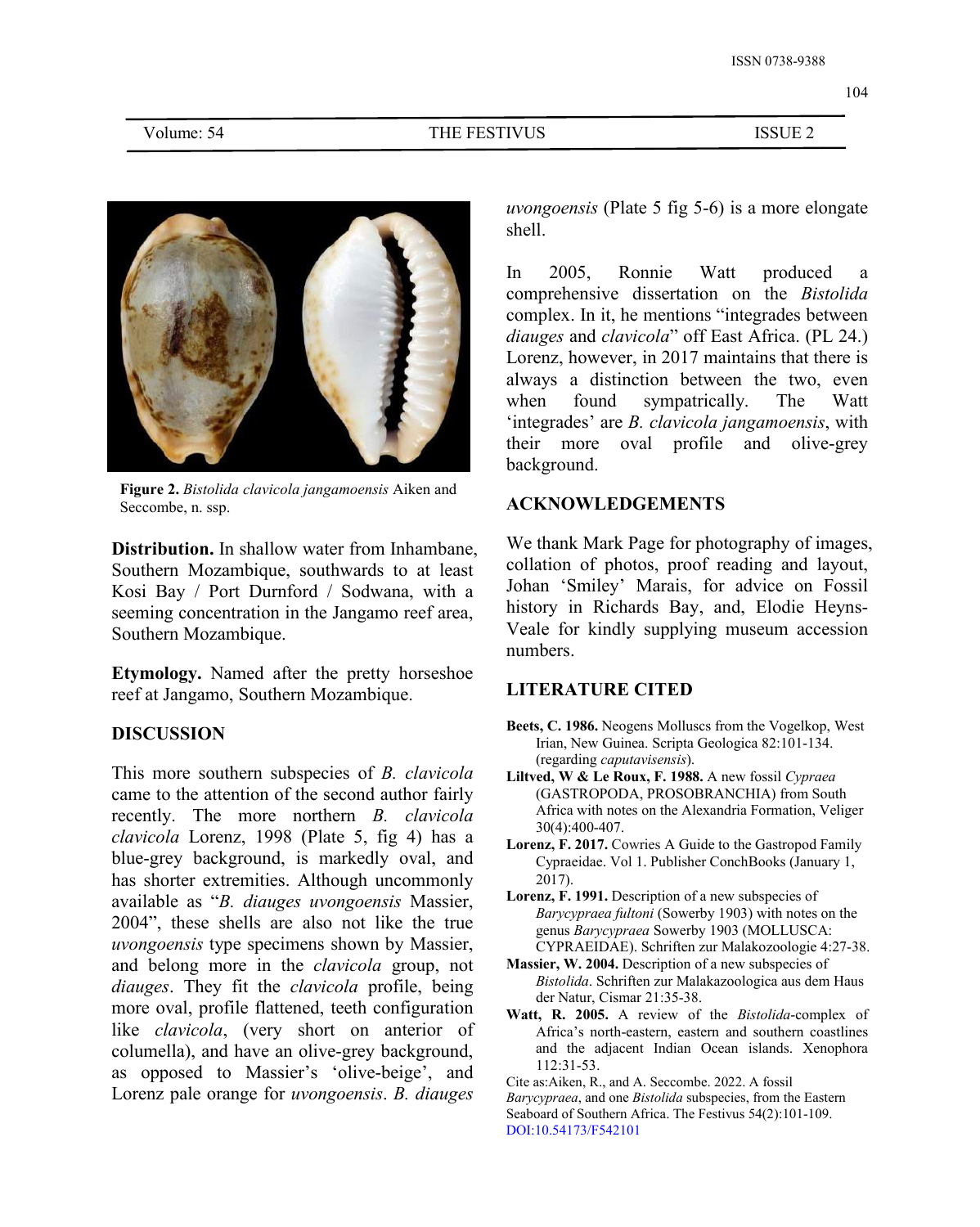

**Figure 2.** *Bistolida clavicola jangamoensis* Aiken and Seccombe, n. ssp.

**Distribution.** In shallow water from Inhambane, Southern Mozambique, southwards to at least Kosi Bay / Port Durnford / Sodwana, with a seeming concentration in the Jangamo reef area, Southern Mozambique.

**Etymology.** Named after the pretty horseshoe reef at Jangamo, Southern Mozambique.

## **DISCUSSION**

This more southern subspecies of *B. clavicola* came to the attention of the second author fairly recently. The more northern *B. clavicola clavicola* Lorenz, 1998 (Plate 5, fig 4) has a blue-grey background, is markedly oval, and has shorter extremities. Although uncommonly available as "*B. diauges uvongoensis* Massier, 2004", these shells are also not like the true *uvongoensis* type specimens shown by Massier, and belong more in the *clavicola* group, not *diauges*. They fit the *clavicola* profile, being more oval, profile flattened, teeth configuration like *clavicola*, (very short on anterior of columella), and have an olive-grey background, as opposed to Massier's 'olive-beige', and Lorenz pale orange for *uvongoensis*. *B. diauges*

*uvongoensis* (Plate 5 fig 5-6) is a more elongate shell.

In 2005, Ronnie Watt produced a comprehensive dissertation on the *Bistolida* complex. In it, he mentions "integrades between *diauges* and *clavicola*" off East Africa. (PL 24.) Lorenz, however, in 2017 maintains that there is always a distinction between the two, even when found sympatrically. The Watt 'integrades' are *B. clavicola jangamoensis*, with their more oval profile and olive-grey background.

## **ACKNOWLEDGEMENTS**

We thank Mark Page for photography of images, collation of photos, proof reading and layout, Johan 'Smiley' Marais, for advice on Fossil history in Richards Bay, and, Elodie Heyns- Veale for kindly supplying museum accession numbers.

## **LITERATURE CITED**

- **Beets, C. 1986.** Neogens Molluscs from the Vogelkop, West Irian, New Guinea. Scripta Geologica 82:101-134. (regarding *caputavisensis*).
- **Liltved, W & Le Roux, F. 1988.** A new fossil *Cypraea* (GASTROPODA, PROSOBRANCHIA) from South Africa with notes on the Alexandria Formation, Veliger 30(4):400-407.
- **Lorenz, F. 2017.** Cowries A Guide to the Gastropod Family Cypraeidae. Vol 1. Publisher ConchBooks (January 1, 2017).
- **Lorenz, F. 1991.** Description of a new subspecies of *Barycypraea fultoni* (Sowerby 1903) with notes on the genus *Barycypraea* Sowerby 1903 (MOLLUSCA: CYPRAEIDAE). Schriften zur Malakozoologie 4:27-38.
- **Massier, W. 2004.** Description of a new subspecies of *Bistolida*. Schriften zur Malakazoologica aus dem Haus der Natur, Cismar 21:35-38.
- **Watt, R. 2005.** A review of the *Bistolida*-complex of Africa's north-eastern, eastern and southern coastlines and the adjacent Indian Ocean islands. Xenophora 112:31-53.

Cite as:Aiken, R., and A. Seccombe. 2022. A fossil Barycypraea, and one Bistolida subspecies, from the Eastern Seaboard of Southern Africa. The Festivus 54(2):101-109. DOI:10.54173/F542101

104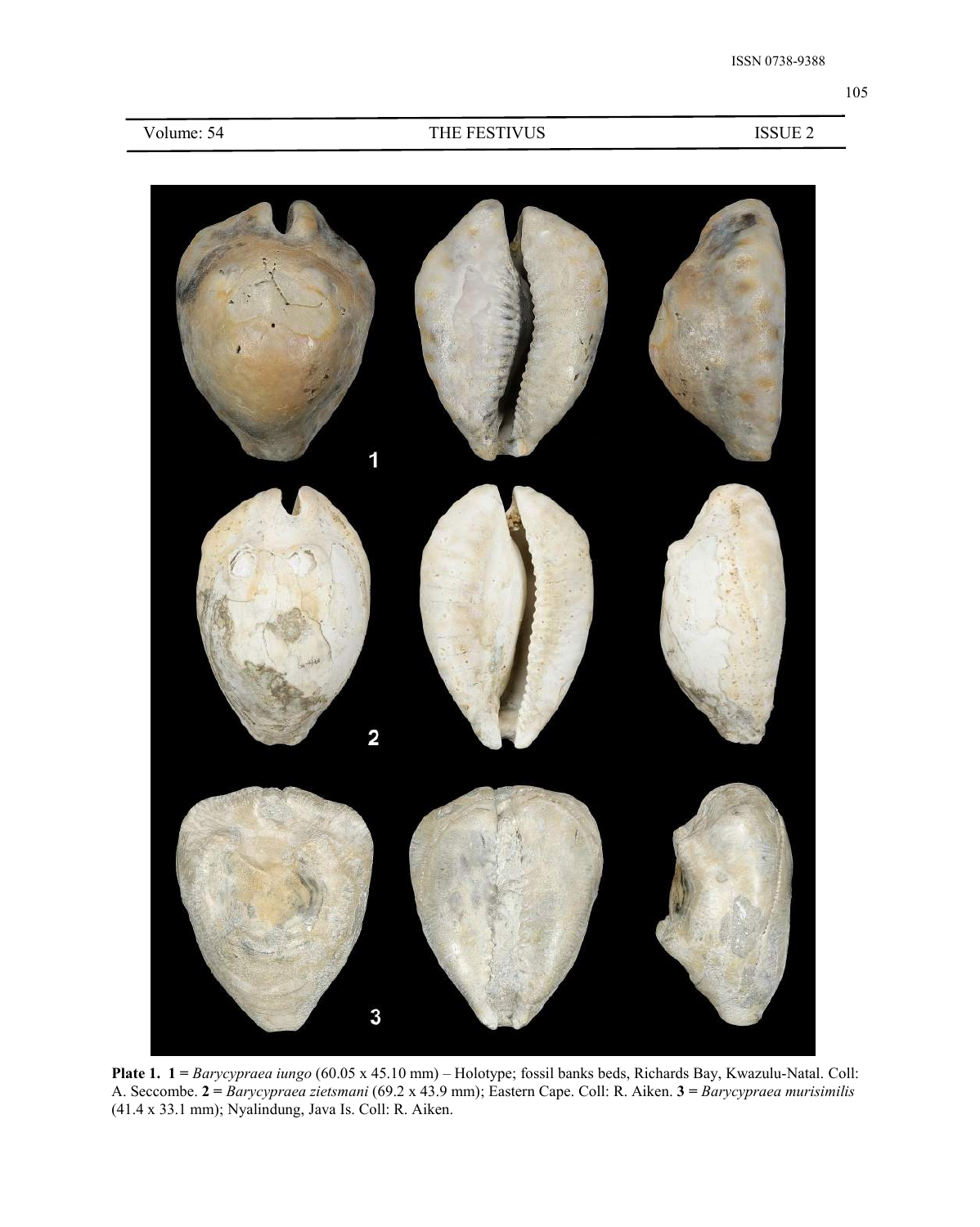

**Plate 1. 1 =** *Barycypraea iungo* (60.05 x 45.10 mm) – Holotype; fossil banks beds, Richards Bay, Kwazulu-Natal. Coll: A. Seccombe. **2 =** *Barycypraea zietsmani* (69.2 x 43.9 mm); Eastern Cape. Coll: R. Aiken. **3 =** *Barycypraea murisimilis* (41.4 x 33.1 mm); Nyalindung, Java Is. Coll: R. Aiken.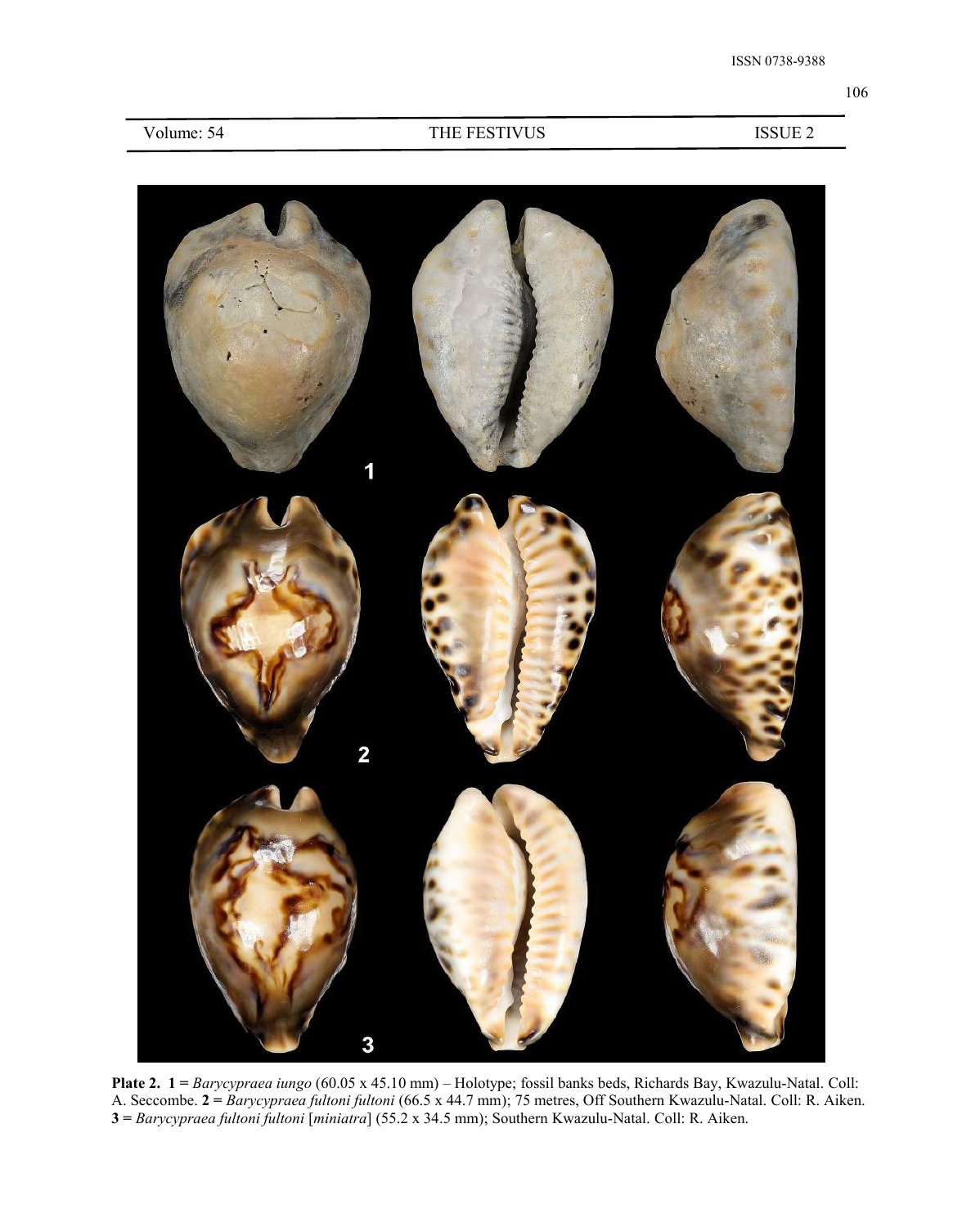| Volume: 54 |  |
|------------|--|
|------------|--|

## THE FESTIVUS ISSUE 2



**Plate 2. 1 =** *Barycypraea iungo* (60.05 x 45.10 mm) – Holotype; fossil banks beds, Richards Bay, Kwazulu-Natal. Coll: A. Seccombe. **2 =** *Barycypraea fultoni fultoni* (66.5 x 44.7 mm); 75 metres, Off Southern Kwazulu-Natal. Coll: R. Aiken. **3 =** *Barycypraea fultoni fultoni* [*miniatra*] (55.2 x 34.5 mm); Southern Kwazulu-Natal. Coll: R. Aiken.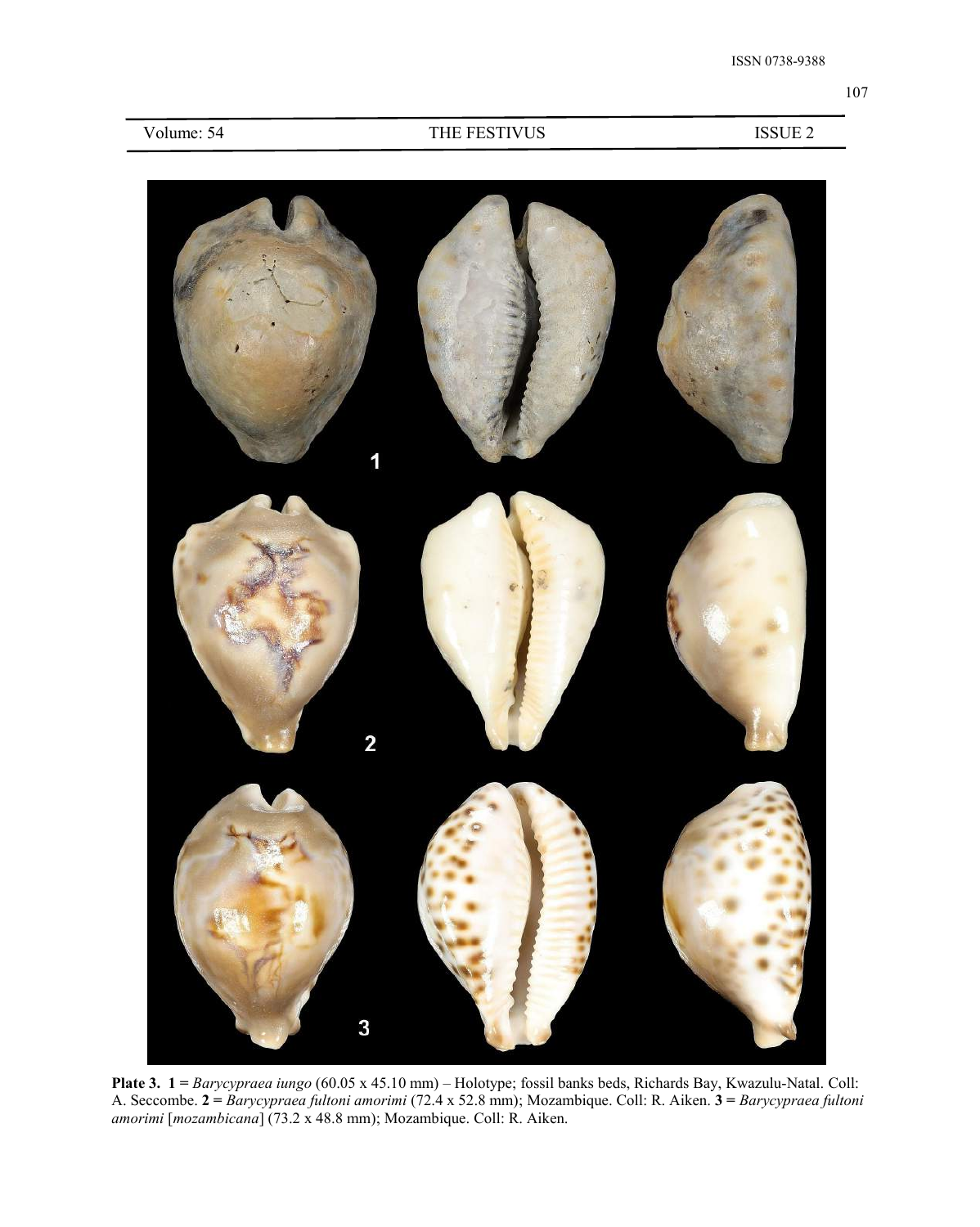

**Plate 3. 1 =** *Barycypraea iungo* (60.05 x 45.10 mm) – Holotype; fossil banks beds, Richards Bay, Kwazulu-Natal. Coll: A. Seccombe. **2 =** *Barycypraea fultoni amorimi* (72.4 x 52.8 mm); Mozambique. Coll: R. Aiken. **3 =** *Barycypraea fultoni amorimi* [*mozambicana*] (73.2 x 48.8 mm); Mozambique. Coll: R. Aiken.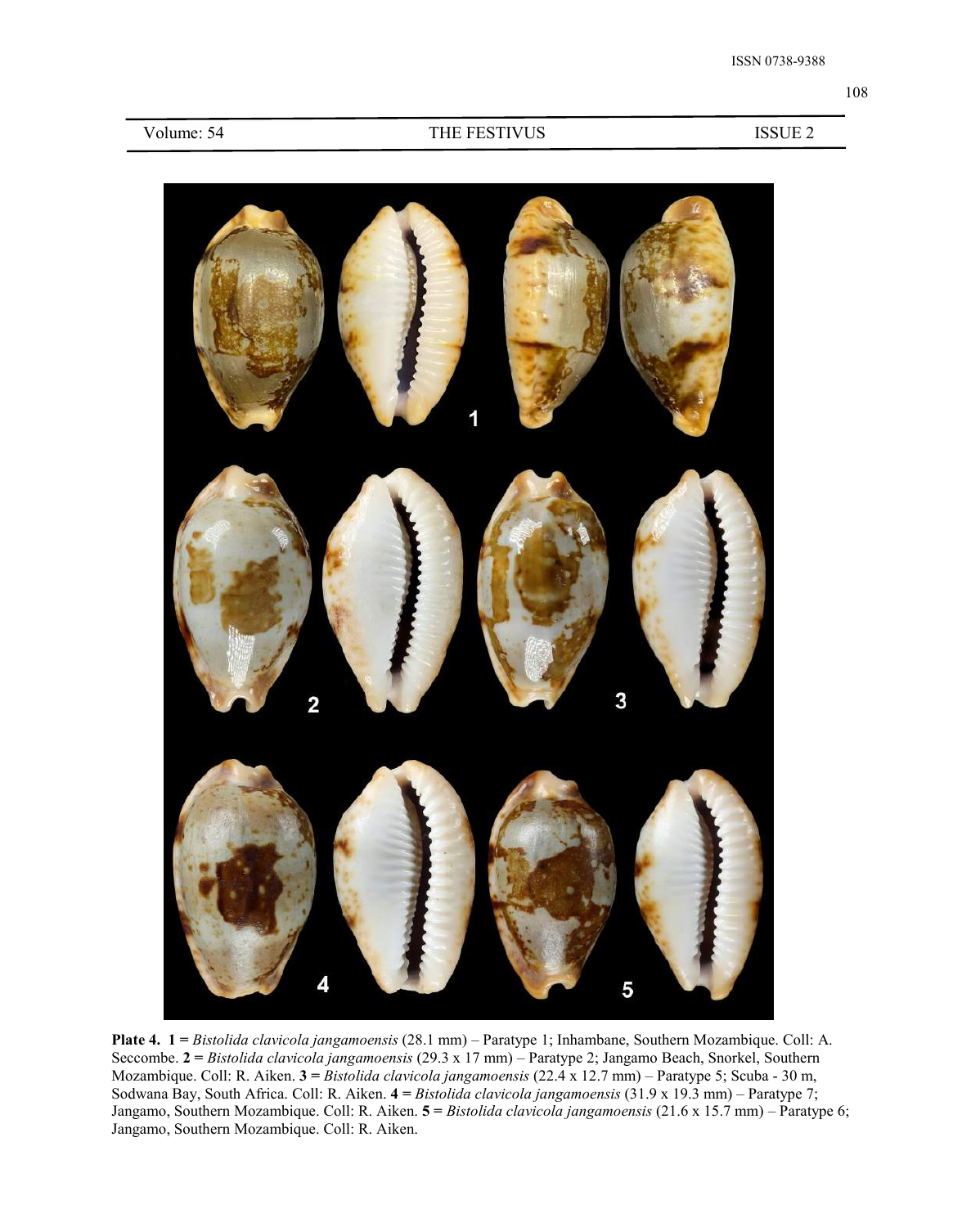

**Plate 4. 1 =** *Bistolida clavicola jangamoensis* (28.1 mm) – Paratype 1; Inhambane, Southern Mozambique. Coll: A. Seccombe. **2 =** *Bistolida clavicola jangamoensis* (29.3 x 17 mm) – Paratype 2; Jangamo Beach, Snorkel, Southern Mozambique. Coll: R. Aiken. **3 =** *Bistolida clavicola jangamoensis* (22.4 x 12.7 mm) – Paratype 5; Scuba - 30 m, Sodwana Bay, South Africa. Coll: R. Aiken. **4 =** *Bistolida clavicola jangamoensis* (31.9 x 19.3 mm) – Paratype 7; Jangamo, Southern Mozambique. Coll: R. Aiken. **5 =** *Bistolida clavicola jangamoensis* (21.6 x 15.7 mm) – Paratype 6; Jangamo, Southern Mozambique. Coll: R. Aiken.